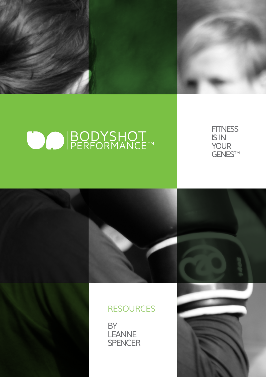

# O BODYSHOT



## **RESOURCES**

BY LEANNE **SPENCER**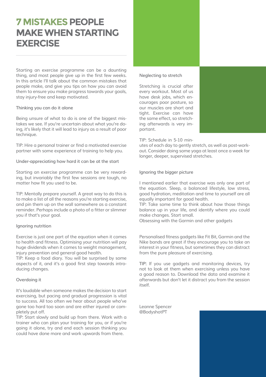## **7 MISTAKES PEOPLE MAKE WHEN STARTING EXERCISE**

Starting an exercise programme can be a daunting thing, and most people give up in the first few weeks. In this article I'll talk about the common mistakes that people make, and give you tips on how you can avoid them to ensure you make progress towards your goals, stay injury-free and keep motivated.

#### **Thinking you can do it alone**

Being unsure of what to do is one of the biggest mistakes we see. If you're uncertain about what you're doing, it's likely that it will lead to injury as a result of poor technique.

TIP: Hire a personal trainer or find a motivated exercise partner with some experience of training to help you.

**Under-appreciating how hard it can be at the start**

Starting an exercise programme can be very rewarding, but invariably the first few sessions are tough, no matter how fit you used to be.

TIP: Mentally prepare yourself. A great way to do this is to make a list of all the reasons you're starting exercise, and pin them up on the wall somewhere as a constant reminder. Perhaps include a photo of a fitter or slimmer you if that's your goal.

#### **Ignoring nutrition**

Exercise is just one part of the equation when it comes to health and fitness. Optimising your nutrition will pay huge dividends when it comes to weight management, injury prevention and general good health.

TIP: Keep a food diary. You will be surprised by some aspects of it, and it's a good first step towards introducing changes.

#### **Overdoing it**

It's laudable when someone makes the decision to start exercising, but pacing and gradual progression is vital to success. All too often we hear about people who've gone too hard too soon and are either injured or completely put off.

TIP: Start slowly and build up from there. Work with a trainer who can plan your training for you, or if you're going it alone, try and end each session thinking you could have done more and work upwards from there.

### **Neglecting to stretch**

Stretching is crucial after every workout. Most of us have desk jobs, which encourages poor posture, so our muscles are short and tight. Exercise can have the same effect, so stretching afterwards is very important.

TIP: Schedule in 5-10 min-

utes of each day to gently stretch, as well as post-workout. Consider doing some yoga at least once a week for longer, deeper, supervised stretches.

#### **Ignoring the bigger picture**

I mentioned earlier that exercise was only one part of the equation. Sleep, a balanced lifestyle, low stress, good hydration, meditation and time to yourself are all equally important for good health.

TIP: Take some time to think about how those things balance up in your life, and identify where you could make changes. Start small.

Obsessing with the Garmin and other gadgets

Personalised fitness gadgets like Fit Bit, Garmin and the Nike bands are great if they encourage you to take an interest in your fitness, but sometimes they can distract from the pure pleasure of exercising.

**TIP:** If you use gadgets and monitoring devices, try not to look at them when exercising unless you have a good reason to. Download the data and examine it afterwards but don't let it distract you from the session itself.

Leanne Spencer @BodyshotPT